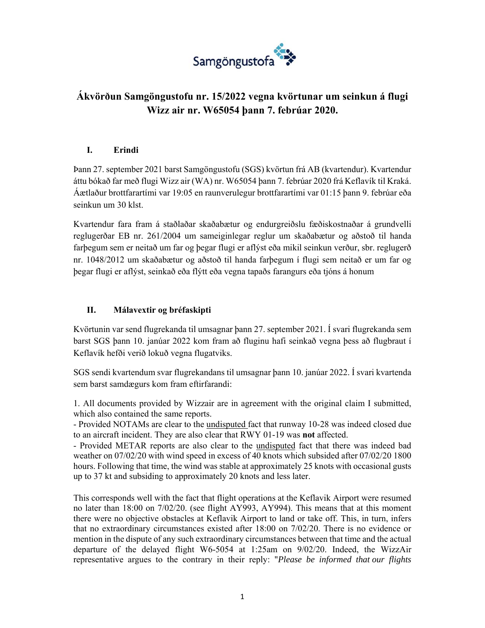

# **Ákvörðun Samgöngustofu nr. 15/2022 vegna kvörtunar um seinkun á flugi Wizz air nr. W65054 þann 7. febrúar 2020.**

### **I. Erindi**

Þann 27. september 2021 barst Samgöngustofu (SGS) kvörtun frá AB (kvartendur). Kvartendur áttu bókað far með flugi Wizz air (WA) nr. W65054 þann 7. febrúar 2020 frá Keflavík til Kraká. Áætlaður brottfarartími var 19:05 en raunverulegur brottfarartími var 01:15 þann 9. febrúar eða seinkun um 30 klst.

Kvartendur fara fram á staðlaðar skaðabætur og endurgreiðslu fæðiskostnaðar á grundvelli reglugerðar EB nr. 261/2004 um sameiginlegar reglur um skaðabætur og aðstoð til handa farþegum sem er neitað um far og þegar flugi er aflýst eða mikil seinkun verður, sbr. reglugerð nr. 1048/2012 um skaðabætur og aðstoð til handa farþegum í flugi sem neitað er um far og þegar flugi er aflýst, seinkað eða flýtt eða vegna tapaðs farangurs eða tjóns á honum

#### **II. Málavextir og bréfaskipti**

Kvörtunin var send flugrekanda til umsagnar þann 27. september 2021. Í svari flugrekanda sem barst SGS þann 10. janúar 2022 kom fram að fluginu hafi seinkað vegna þess að flugbraut í Keflavík hefði verið lokuð vegna flugatviks.

SGS sendi kvartendum svar flugrekandans til umsagnar þann 10. janúar 2022. Í svari kvartenda sem barst samdægurs kom fram eftirfarandi:

1. All documents provided by Wizzair are in agreement with the original claim I submitted, which also contained the same reports.

- Provided NOTAMs are clear to the undisputed fact that runway 10-28 was indeed closed due to an aircraft incident. They are also clear that RWY 01-19 was **not** affected.

- Provided METAR reports are also clear to the undisputed fact that there was indeed bad weather on 07/02/20 with wind speed in excess of 40 knots which subsided after 07/02/20 1800 hours. Following that time, the wind was stable at approximately 25 knots with occasional gusts up to 37 kt and subsiding to approximately 20 knots and less later.

This corresponds well with the fact that flight operations at the Keflavik Airport were resumed no later than 18:00 on 7/02/20. (see flight AY993, AY994). This means that at this moment there were no objective obstacles at Keflavik Airport to land or take off. This, in turn, infers that no extraordinary circumstances existed after 18:00 on 7/02/20. There is no evidence or mention in the dispute of any such extraordinary circumstances between that time and the actual departure of the delayed flight W6-5054 at 1:25am on 9/02/20. Indeed, the WizzAir representative argues to the contrary in their reply: "*Please be informed that our flights*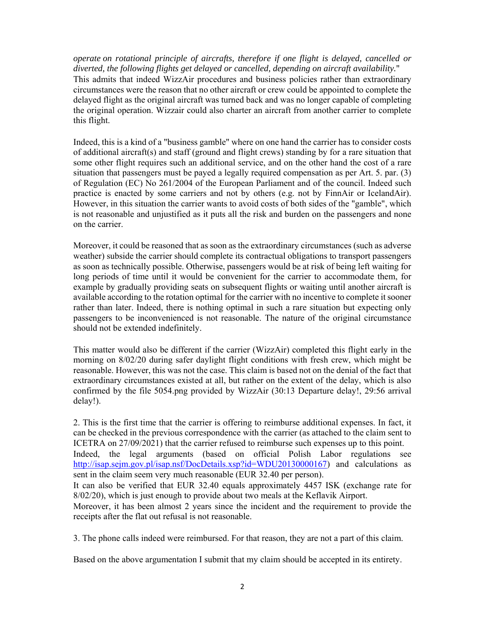*operate on rotational principle of aircrafts, therefore if one flight is delayed, cancelled or diverted, the following flights get delayed or cancelled, depending on aircraft availability.*" This admits that indeed WizzAir procedures and business policies rather than extraordinary circumstances were the reason that no other aircraft or crew could be appointed to complete the delayed flight as the original aircraft was turned back and was no longer capable of completing the original operation. Wizzair could also charter an aircraft from another carrier to complete this flight.

Indeed, this is a kind of a "business gamble" where on one hand the carrier has to consider costs of additional aircraft(s) and staff (ground and flight crews) standing by for a rare situation that some other flight requires such an additional service, and on the other hand the cost of a rare situation that passengers must be payed a legally required compensation as per Art. 5. par. (3) of Regulation (EC) No 261/2004 of the European Parliament and of the council. Indeed such practice is enacted by some carriers and not by others (e.g. not by FinnAir or IcelandAir). However, in this situation the carrier wants to avoid costs of both sides of the "gamble", which is not reasonable and unjustified as it puts all the risk and burden on the passengers and none on the carrier.

Moreover, it could be reasoned that as soon as the extraordinary circumstances (such as adverse weather) subside the carrier should complete its contractual obligations to transport passengers as soon as technically possible. Otherwise, passengers would be at risk of being left waiting for long periods of time until it would be convenient for the carrier to accommodate them, for example by gradually providing seats on subsequent flights or waiting until another aircraft is available according to the rotation optimal for the carrier with no incentive to complete it sooner rather than later. Indeed, there is nothing optimal in such a rare situation but expecting only passengers to be inconvenienced is not reasonable. The nature of the original circumstance should not be extended indefinitely.

This matter would also be different if the carrier (WizzAir) completed this flight early in the morning on 8/02/20 during safer daylight flight conditions with fresh crew, which might be reasonable. However, this was not the case. This claim is based not on the denial of the fact that extraordinary circumstances existed at all, but rather on the extent of the delay, which is also confirmed by the file 5054.png provided by WizzAir (30:13 Departure delay!, 29:56 arrival delay!).

2. This is the first time that the carrier is offering to reimburse additional expenses. In fact, it can be checked in the previous correspondence with the carrier (as attached to the claim sent to ICETRA on 27/09/2021) that the carrier refused to reimburse such expenses up to this point. Indeed, the legal arguments (based on official Polish Labor regulations see http://isap.sejm.gov.pl/isap.nsf/DocDetails.xsp?id=WDU20130000167) and calculations as sent in the claim seem very much reasonable (EUR 32.40 per person). It can also be verified that EUR 32.40 equals approximately 4457 ISK (exchange rate for 8/02/20), which is just enough to provide about two meals at the Keflavik Airport. Moreover, it has been almost 2 years since the incident and the requirement to provide the receipts after the flat out refusal is not reasonable.

3. The phone calls indeed were reimbursed. For that reason, they are not a part of this claim.

Based on the above argumentation I submit that my claim should be accepted in its entirety.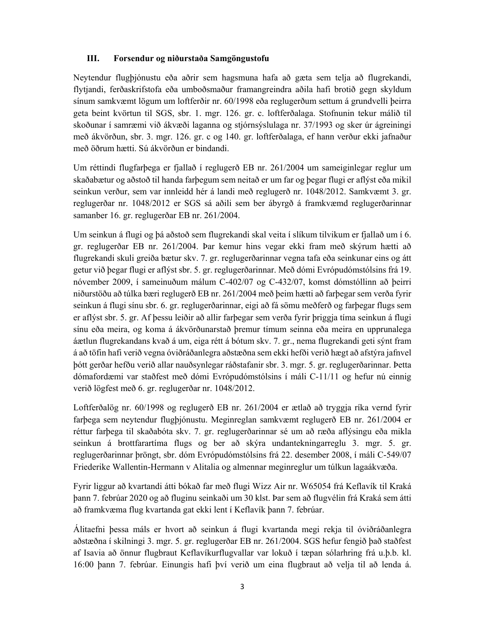#### **III. Forsendur og niðurstaða Samgöngustofu**

Neytendur flugþjónustu eða aðrir sem hagsmuna hafa að gæta sem telja að flugrekandi, flytjandi, ferðaskrifstofa eða umboðsmaður framangreindra aðila hafi brotið gegn skyldum sínum samkvæmt lögum um loftferðir nr. 60/1998 eða reglugerðum settum á grundvelli þeirra geta beint kvörtun til SGS, sbr. 1. mgr. 126. gr. c. loftferðalaga. Stofnunin tekur málið til skoðunar í samræmi við ákvæði laganna og stjórnsýslulaga nr. 37/1993 og sker úr ágreiningi með ákvörðun, sbr. 3. mgr. 126. gr. c og 140. gr. loftferðalaga, ef hann verður ekki jafnaður með öðrum hætti. Sú ákvörðun er bindandi.

Um réttindi flugfarþega er fjallað í reglugerð EB nr. 261/2004 um sameiginlegar reglur um skaðabætur og aðstoð til handa farþegum sem neitað er um far og þegar flugi er aflýst eða mikil seinkun verður, sem var innleidd hér á landi með reglugerð nr. 1048/2012. Samkvæmt 3. gr. reglugerðar nr. 1048/2012 er SGS sá aðili sem ber ábyrgð á framkvæmd reglugerðarinnar samanber 16. gr. reglugerðar EB nr. 261/2004.

Um seinkun á flugi og þá aðstoð sem flugrekandi skal veita í slíkum tilvikum er fjallað um í 6. gr. reglugerðar EB nr. 261/2004. Þar kemur hins vegar ekki fram með skýrum hætti að flugrekandi skuli greiða bætur skv. 7. gr. reglugerðarinnar vegna tafa eða seinkunar eins og átt getur við þegar flugi er aflýst sbr. 5. gr. reglugerðarinnar. Með dómi Evrópudómstólsins frá 19. nóvember 2009, í sameinuðum málum C-402/07 og C-432/07, komst dómstóllinn að þeirri niðurstöðu að túlka bæri reglugerð EB nr. 261/2004 með þeim hætti að farþegar sem verða fyrir seinkun á flugi sínu sbr. 6. gr. reglugerðarinnar, eigi að fá sömu meðferð og farþegar flugs sem er aflýst sbr. 5. gr. Af þessu leiðir að allir farþegar sem verða fyrir þriggja tíma seinkun á flugi sínu eða meira, og koma á ákvörðunarstað þremur tímum seinna eða meira en upprunalega áætlun flugrekandans kvað á um, eiga rétt á bótum skv. 7. gr., nema flugrekandi geti sýnt fram á að töfin hafi verið vegna óviðráðanlegra aðstæðna sem ekki hefði verið hægt að afstýra jafnvel þótt gerðar hefðu verið allar nauðsynlegar ráðstafanir sbr. 3. mgr. 5. gr. reglugerðarinnar. Þetta dómafordæmi var staðfest með dómi Evrópudómstólsins í máli C-11/11 og hefur nú einnig verið lögfest með 6. gr. reglugerðar nr. 1048/2012.

Loftferðalög nr. 60/1998 og reglugerð EB nr. 261/2004 er ætlað að tryggja ríka vernd fyrir farþega sem neytendur flugþjónustu. Meginreglan samkvæmt reglugerð EB nr. 261/2004 er réttur farþega til skaðabóta skv. 7. gr. reglugerðarinnar sé um að ræða aflýsingu eða mikla seinkun á brottfarartíma flugs og ber að skýra undantekningarreglu 3. mgr. 5. gr. reglugerðarinnar þröngt, sbr. dóm Evrópudómstólsins frá 22. desember 2008, í máli C-549/07 Friederike Wallentin-Hermann v Alitalia og almennar meginreglur um túlkun lagaákvæða.

Fyrir liggur að kvartandi átti bókað far með flugi Wizz Air nr. W65054 frá Keflavík til Kraká þann 7. febrúar 2020 og að fluginu seinkaði um 30 klst. Þar sem að flugvélin frá Kraká sem átti að framkvæma flug kvartanda gat ekki lent í Keflavík þann 7. febrúar.

Álitaefni þessa máls er hvort að seinkun á flugi kvartanda megi rekja til óviðráðanlegra aðstæðna í skilningi 3. mgr. 5. gr. reglugerðar EB nr. 261/2004. SGS hefur fengið það staðfest af Isavia að önnur flugbraut Keflavíkurflugvallar var lokuð í tæpan sólarhring frá u.þ.b. kl. 16:00 þann 7. febrúar. Einungis hafi því verið um eina flugbraut að velja til að lenda á.